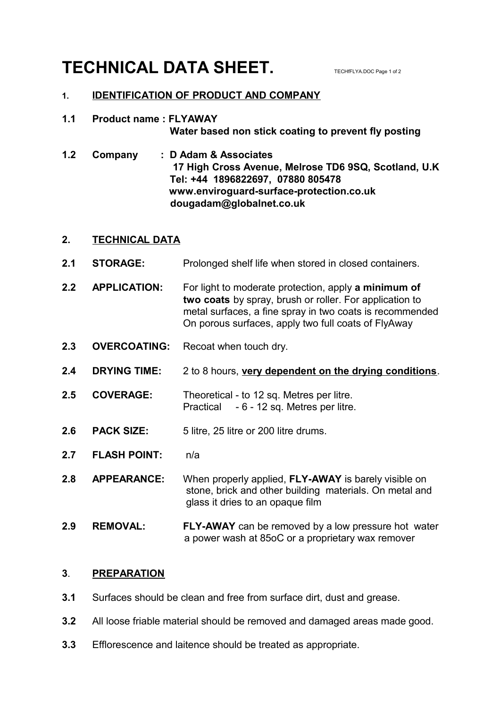# **TECHNICAL DATA SHEET.** TECHELYADOC Page 1 of 2

# **1. IDENTIFICATION OF PRODUCT AND COMPANY**

# **1.1 Product name : FLYAWAY Water based non stick coating to prevent fly posting**

**1.2 Company : D Adam & Associates 17 High Cross Avenue, Melrose TD6 9SQ, Scotland, U.K Tel: +44 1896822697, 07880 805478 www.enviroguard-surface-protection.co.uk dougadam@globalnet.co.uk** 

# **2. TECHNICAL DATA**

- **2.1 STORAGE:** Prolonged shelf life when stored in closed containers.
- **2.2 APPLICATION:** For light to moderate protection, apply **a minimum of two coats** by spray, brush or roller. For application to metal surfaces, a fine spray in two coats is recommended On porous surfaces, apply two full coats of FlyAway
- **2.3 OVERCOATING:** Recoat when touch dry.
- **2.4 DRYING TIME:** 2 to 8 hours, **very dependent on the drying conditions**.
- **2.5 COVERAGE:** Theoretical to 12 sq. Metres per litre. Practical - 6 - 12 sq. Metres per litre.
- **2.6 PACK SIZE:** 5 litre, 25 litre or 200 litre drums.
- **2.7 FLASH POINT:** n/a
- **2.8 APPEARANCE:** When properly applied, **FLY-AWAY** is barely visible on stone, brick and other building materials. On metal and glass it dries to an opaque film
- **2.9 REMOVAL: FLY-AWAY** can be removed by a low pressure hot water a power wash at 85oC or a proprietary wax remover

### **3**. **PREPARATION**

- **3.1** Surfaces should be clean and free from surface dirt, dust and grease.
- **3.2** All loose friable material should be removed and damaged areas made good.
- **3.3** Efflorescence and laitence should be treated as appropriate.